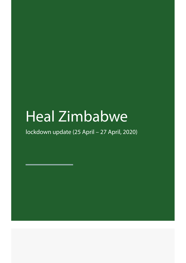# Heal Zimbabwe

lockdown update (25 April – 27 April, 2020)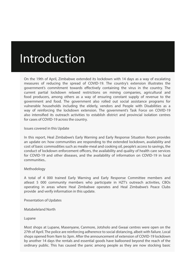# Introduction

On the 19th of April, Zimbabwe extended its lockdown with 14 days as a way of escalating measures of reducing the spread of COVID-19. The country's extension illustrates the government's commitment towards effectively containing the virus in the country. The current partial lockdown relaxed restrictions on mining companies, agricultural and food producers, among others as a way of ensuring constant supply of revenue to the government and food. The government also rolled out social assistance programs for vulnerable households including the elderly, vendors and People with Disabilities as a way of reinforcing the lockdown extension. The government's Task Force on COVID-19 also intensified its outreach activities to establish district and provincial isolation centres for cases of COVID-19 across the country.

Issues covered in this Update

In this report, Heal Zimbabwe's Early Warning and Early Response Situation Room provides an update on: how communities are responding to the extended lockdown, availability and cost of basic commodities such as mealie-meal and cooking oil, people's access to savings, the conduct of lockdown enforcement officers, the availability and quality of health care services for COVID-19 and other diseases, and the availability of information on COVID-19 in local communities..

#### Methodology

A total of 4 000 trained Early Warning and Early Response Committee members and atleast 5 000 community members who participate in HZT's outreach activities, CBOs operating in areas where Heal Zimbabwe operates and Heal Zimbabwe's Peace Clubs provide and verify information in this update.

Presentation of Updates

Matabeleland North

Lupane

Most shops at Lupane, Masenyane, Canmore, Jotsholo and Gwaai centres were open on the 27th of April. The police are reinforcing adherence to social distancing, albeit with failure. Local shops opened from 9am to 3pm. After the announcement of extension of COVID-19 lockdown by another 14 days the rentals and essential goods have ballooned beyond the reach of the ordinary public. This has caused the panic among people as they are now stocking basic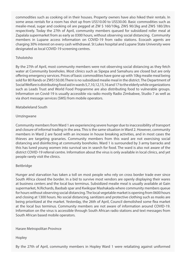commodities such as cooking oil in their houses. Property owners have also hiked their rentals. In some areas rentals for a room has shot up from US\$10.00 to US\$30.00. Basic commodities such as mealie-meal, sugar and cooking oil are pegged at ZW \$ 160/10kg, ZW\$ 90/2kg and ZW\$ 180/2ltrs respectively. Today the 27th of April, community members queued for subsidized roller meal at Zapalala supermarket from as early as 0300 hours, without observing social distancing. Community members in Lupane access information on COVID-19 from radio stations. Ecocash agents are charging 30% interest on every cash withdrawal. St Lukes hospital and Lupane State University were designated as local COVID-19 screening centres.

# Tsholotsho

By the 27th of April, most community members were not observing social distancing as they fetch water at Community boreholes. Most clinics such as Sipepa and Samahuru are closed but are only offering emergency services. Prices of basic commodities have gone up with 10kg mealie meal being sold for 80 Rands or ZW\$150.00.There is no subsidized mealie meal in the district. The Department of Social Welfare is distributing food aid in wards 5,7,10,12,15,16 and 17 to the elderly while organizations such as Leads Trust and World Food Programme are also distributing food to vulnerable groups. Information on Covid-19 is usually accessible via radio mostly Radio Zimbabwe, Studio 7 as well as via short message services (SMS) from mobile operators.

# Matabeleland South

# Umzingwane

Community members from Ward 1 are experiencing severe hunger due to inaccessibility of transport and closure of informal trading in the area. This is the same situation in Ward 2. However, community members in Ward 2 are faced with an increase in house breaking activities, and in most cases the thieves are targeting granaries. Community members from this ward are not exercising social distancing and disinfecting at community boreholes. Ward 1 is surrounded by 3 army barracks and this has lured young women into survival sex in search for food. The ward is also not aware of the district COVID-19 referral centre. Information about the virus is only available in local clinics, and yet people rarely visit the clinics.

# Beitbridge

Hunger and starvation has taken a toll on most people who rely on cross border trade ever since South Africa closed the border. In a bid to survive most vendors are openly displaying their wares at business centers and the local bus terminus. Subsidized mealie meal is usually available at Gain supermarket, N.Richards, Baobab spar and Kwikspar Mashakada where community members queue for hours without observing social distancing. The local vegetable market is opening from 0600 hours and closing at 1300 hours. No social distancing, sanitizers and protective clothing such as masks are being prioritized at the market. Yesterday, the 26th of April, Council demolished some flea market at the local bus terminus. Community members are not aware of information around COVID-19. Information on the virus is accessible through South African radio stations and text messages from South African based mobile operators.

# Harare Metropolitan Province

Hopley

By the 27th of April, community members in Hopley Ward 1 were retaliating against uniformed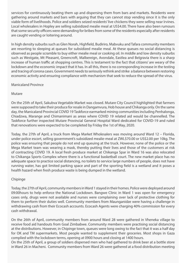services for continuously beating them up and dispersing them from bars and markets. Residents were gathering around markets and bars with arguing that they can cannot stop vending since it is the only viable form of livelihoods. Police and soldiers seized residents' live chickens they were selling near Irvines. Local wholesalers in Hopley are selling subsidized mealie meal at US\$4.00. There have also been rumours that some security officers were demanding for bribes from some of the residents especially after residents are caught vending or loitering around.

In high density suburbs such as Glen Norah, Highfield, Budiriro, Mabvuku and Tafara community members are resorting to sleeping at queues for subsidized mealie meal. At these queues no social distancing is observed as people scramble to buy either mealie meal or cooking oil. In middle and low density suburbs such as Westgate, Mt Pleasant, Greencroft, Malbereign, Avondale, Eastlea and Belgravia there is a sharp increase of human traffic at shopping centres. This is testament to the fact that citizens' are weary of the lockdown and the economic impact that it has. In all this, there is no corresponding increase in the testing and tracing of corona cases. Government needs to seriously rethink and strike a balance between restoring economic activity and ensuring compliance with mechanism that seek to reduce the spread of the virus.

# Manicaland Province

# Mutare

On the 25th of April, Sakubva Vegetable Market was closed. Mutare City Council highlighted that farmers were supposed to take their produce for resale in Dangamvura, Hob house and Chikanga only. On the same day, the Manicaland Provincial COVID 19 Taskforce earmarked mining communities including Penhalonga, Chiadzwa, Marange and Chimanimani as areas where COVID 19 related aid would be channelled. The Taskforce further inspected Mutare Provincial General Hospital Ward dedicated for COVID-19 and ruled that renovations were expected to be completed by Friday the 1st of May, 2020.

Today, the 27th of April, a truck from Mega Market Wholesalers was moving around Ward 12 – Florida, under police escort, selling government's subsidized mealie-meal at ZWL\$70.00 or US\$2.00 per 10kg. The police was ensuring that people do not end up queuing at the truck. However, none of the police or the Mega Market team was wearing a mask, thereby putting their lives and those of the customers at risk of contracting COVID 19. A local fresh produce market at Chikanga Spar in Ward 16 was also relocated to Chikanga Sports Complex where there is a functional basketball court. The new market place has no adequate space to practice social distancing, no toilets to service large numbers of people, does not have running water, has got limited parking space and part of the sporting field is a wetland and it poses a health hazard when fresh produce waste is being dumped in the wetland.

# Chipinge

Today, the 27th of April, community members in Ward 1 stayed in their homes. Police were deployed around 09:00hours to help enforce the National Lockdown. Bangwe Clinic in Ward 1 was open for emergency cases only, drugs were not available and nurses were complaining over lack of protective clothing for them to perform their duties well. Community members from Maunganidze were having a challenge in withdrawing cash from their Ecocash accounts. Ecocash Agents were charging 40% commission for every cash withdrawal.

On the 26th of April, community members from around Ward 28 were gathered in Vheneka village to receive food aid handouts from Goal Zimbabwe. Community members were practising social distancing at the distributions. However, in Chipinge town, queues were long owing to the fact that it was a half day for OK and TM supermarkets. Most people wanted to supplement their groceries. Most shops in Gaza complied with the lockdown terms, opening at 0900 hours and closing at 1400 hours.

On the 25th of April, a group of soldiers dispersed men who had gathered to drink beer at a bottle store in Ward 26 in Macheni. Community members from Ward 26 were gathered at a food distribution meeting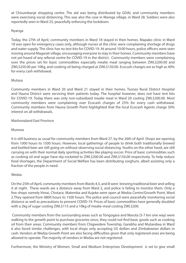at Chisumbanje shopping centre. The aid was being distributed by GOAL and community members were exercising social distancing. This was also the case in Marega village, in Ward 28. Soldiers were also reportedly seen in Ward 25, peacefully enforcing the lockdown.

# Nyanga

Today, the 27th of April, community members in Ward 18 stayed in their homes. Mapako clinic in Ward 18 was open for emergency cases only, although nurses at the clinic were complaining shortage of drugs and water supply. The clinic has no test-kits for COVID-19. At around 10:00 hours, police officers were seen moving around Magarati village, encouraging everyone to stay in their homes. Community members have not yet heard of any referral centre for COVID-19 in the district. Community members were complaining over the prices set for basic commodities especially mealie meal ranging between ZWL\$200.00 and ZWL\$250.00 per 10Kg, and cooking oil being charged at ZWL\$150.00. Ecocash charges are as high as 40% for every cash withdrawal.

# Mutasa

Community members in Ward 20 and Ward 21 stayed in their homes. Tsonzo Rural District Hospital and Hauna District were servicing their patients today. The hospital however, does not have test kits for COVID-19. Today there was only non-subsidized mealie meal in Ward 20 costing ZWL\$200.00. Most community members were complaining over Ecocash charges of 25% for every cash withdrawal. Community members from Hauna Growth Point highlighted that the local Ecocash Agents charge 30% interest on all withdrawals.

# Mashonaland East Province

# Murewa

It is still business as usual for community members from Ward 27, by the 26th of April. Shops are opening from 1000 hours to 1500 hours. However, local gatherings of people to drink both traditionally brewed and bottled beer are still going on without observing social distancing. Youths on the other hand, are still carrying on with their normal daily sporting activities like playing soccer. Price of basic commodities such as cooking oil and sugar have sky-rocketed to ZWL\$200.00 and ZWL\$150.00 respectively. To help reduce food shortages, the Department of Social Welfare has been distributing sorghum, albeit assisting only a fraction of the people in need.

# Wedza

On the 25th of April, community members from Wards 4,5, and 8 were brewing traditional beer and selling it at night. These wards are a distance away from Ward 2, and police is failing to monitor them. Only a few shops namely Vimai, Chotace, Matemba and Kujeke were open at Wedza Centre/Growth Point, Ward 2.They opened from 0800 hours to 1500 hours. The police and council were peacefully monitoring social distance as well as precautions to prevent COVID-19. Prices of basic commodities have generally doubled with a 2kg of sugar costing ZWL\$115 and a 10kg of mealie-meal costing ZWL\$200.

 Community members from the surrounding areas such as Tongogara and Maruta (5-7 km one way) were walking to the growth point to purchase groceries since, they could not find basic goods such as cooking oil from their areas. Community members from Chigwedere Township, Garabha and Mutandwa in Ward 6 also faced similar challenges, with local shops only accepting US dollars and Zimbabwean dollars in cash. Vendors at Wedza Growth Point are also facing difficulties given that only registered ones are being allowed to operate. The majority of vendors in Wedza are not registered.

Furthermore, the Ministry of Women, Small and Medium Enterprises Development is set to give small